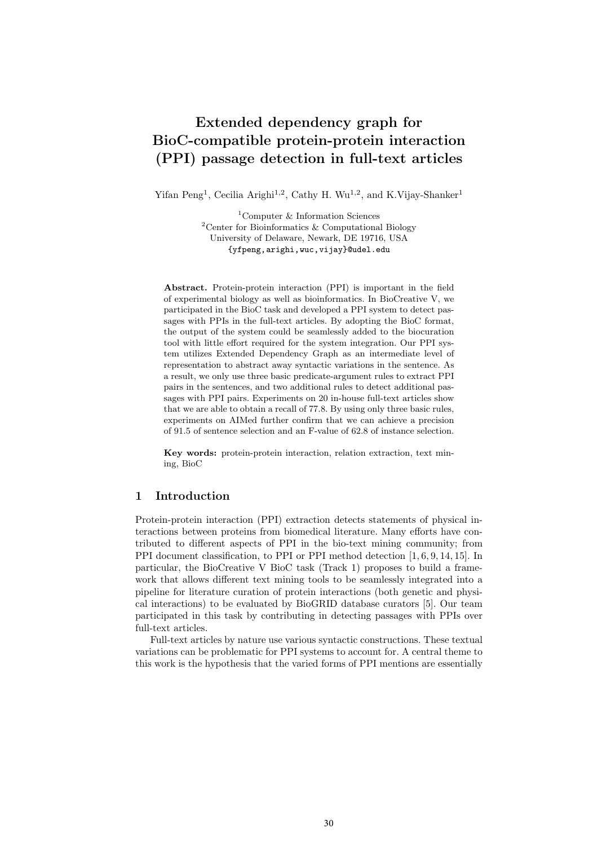# Extended dependency graph for BioC-compatible protein-protein interaction (PPI) passage detection in full-text articles

Yifan Peng<sup>1</sup>, Cecilia Arighi<sup>1,2</sup>, Cathy H. Wu<sup>1,2</sup>, and K. Vijay-Shanker<sup>1</sup>

<sup>1</sup>Computer & Information Sciences <sup>2</sup>Center for Bioinformatics & Computational Biology University of Delaware, Newark, DE 19716, USA {yfpeng,arighi,wuc,vijay}@udel.edu

Abstract. Protein-protein interaction (PPI) is important in the field of experimental biology as well as bioinformatics. In BioCreative V, we participated in the BioC task and developed a PPI system to detect passages with PPIs in the full-text articles. By adopting the BioC format, the output of the system could be seamlessly added to the biocuration tool with little effort required for the system integration. Our PPI system utilizes Extended Dependency Graph as an intermediate level of representation to abstract away syntactic variations in the sentence. As a result, we only use three basic predicate-argument rules to extract PPI pairs in the sentences, and two additional rules to detect additional passages with PPI pairs. Experiments on 20 in-house full-text articles show that we are able to obtain a recall of 77.8. By using only three basic rules, experiments on AIMed further confirm that we can achieve a precision of 91.5 of sentence selection and an F-value of 62.8 of instance selection.

Key words: protein-protein interaction, relation extraction, text mining, BioC

# 1 Introduction

Protein-protein interaction (PPI) extraction detects statements of physical interactions between proteins from biomedical literature. Many efforts have contributed to different aspects of PPI in the bio-text mining community; from PPI document classification, to PPI or PPI method detection [1, 6, 9, 14, 15]. In particular, the BioCreative V BioC task (Track 1) proposes to build a framework that allows different text mining tools to be seamlessly integrated into a pipeline for literature curation of protein interactions (both genetic and physical interactions) to be evaluated by BioGRID database curators [5]. Our team participated in this task by contributing in detecting passages with PPIs over full-text articles.

Full-text articles by nature use various syntactic constructions. These textual variations can be problematic for PPI systems to account for. A central theme to this work is the hypothesis that the varied forms of PPI mentions are essentially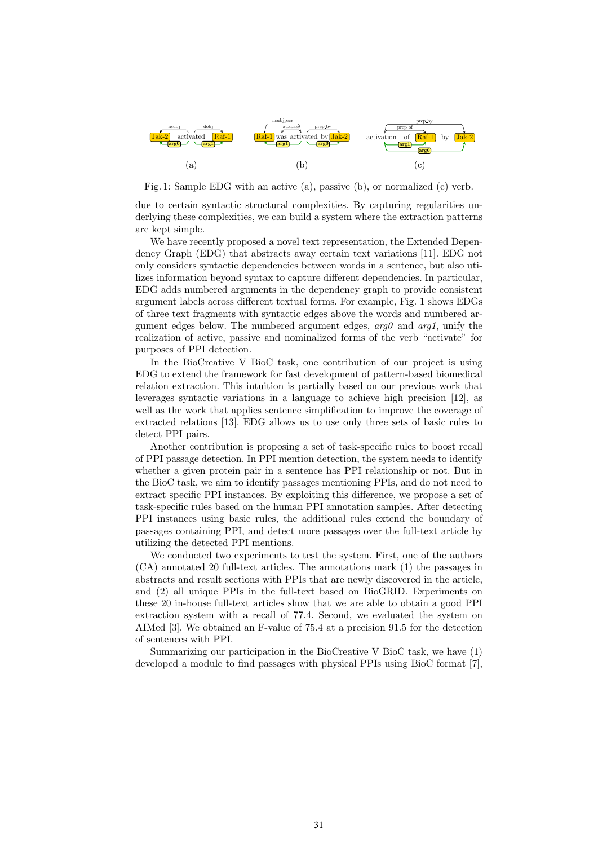

Fig. 1: Sample EDG with an active (a), passive (b), or normalized (c) verb.

due to certain syntactic structural complexities. By capturing regularities underlying these complexities, we can build a system where the extraction patterns are kept simple.

We have recently proposed a novel text representation, the Extended Dependency Graph (EDG) that abstracts away certain text variations [11]. EDG not only considers syntactic dependencies between words in a sentence, but also utilizes information beyond syntax to capture different dependencies. In particular, EDG adds numbered arguments in the dependency graph to provide consistent argument labels across different textual forms. For example, Fig. 1 shows EDGs of three text fragments with syntactic edges above the words and numbered argument edges below. The numbered argument edges,  $arg\theta$  and  $arg1$ , unify the realization of active, passive and nominalized forms of the verb "activate" for purposes of PPI detection.

In the BioCreative V BioC task, one contribution of our project is using EDG to extend the framework for fast development of pattern-based biomedical relation extraction. This intuition is partially based on our previous work that leverages syntactic variations in a language to achieve high precision [12], as well as the work that applies sentence simplification to improve the coverage of extracted relations [13]. EDG allows us to use only three sets of basic rules to detect PPI pairs.

Another contribution is proposing a set of task-specific rules to boost recall of PPI passage detection. In PPI mention detection, the system needs to identify whether a given protein pair in a sentence has PPI relationship or not. But in the BioC task, we aim to identify passages mentioning PPIs, and do not need to extract specific PPI instances. By exploiting this difference, we propose a set of task-specific rules based on the human PPI annotation samples. After detecting PPI instances using basic rules, the additional rules extend the boundary of passages containing PPI, and detect more passages over the full-text article by utilizing the detected PPI mentions.

We conducted two experiments to test the system. First, one of the authors (CA) annotated 20 full-text articles. The annotations mark (1) the passages in abstracts and result sections with PPIs that are newly discovered in the article, and (2) all unique PPIs in the full-text based on BioGRID. Experiments on these 20 in-house full-text articles show that we are able to obtain a good PPI extraction system with a recall of 77.4. Second, we evaluated the system on AIMed [3]. We obtained an F-value of 75.4 at a precision 91.5 for the detection of sentences with PPI.

Summarizing our participation in the BioCreative V BioC task, we have (1) developed a module to find passages with physical PPIs using BioC format [7],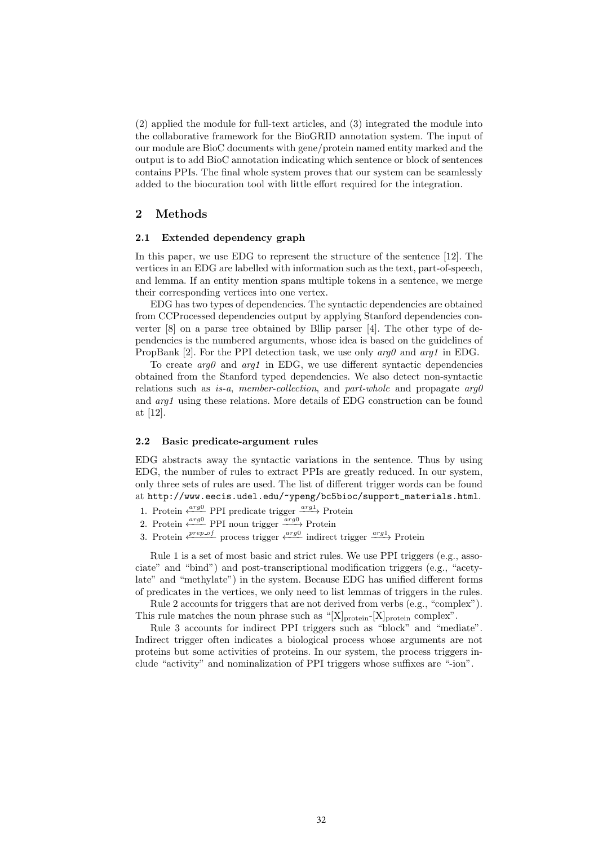(2) applied the module for full-text articles, and (3) integrated the module into the collaborative framework for the BioGRID annotation system. The input of our module are BioC documents with gene/protein named entity marked and the output is to add BioC annotation indicating which sentence or block of sentences contains PPIs. The final whole system proves that our system can be seamlessly added to the biocuration tool with little effort required for the integration.

# 2 Methods

## 2.1 Extended dependency graph

In this paper, we use EDG to represent the structure of the sentence [12]. The vertices in an EDG are labelled with information such as the text, part-of-speech, and lemma. If an entity mention spans multiple tokens in a sentence, we merge their corresponding vertices into one vertex.

EDG has two types of dependencies. The syntactic dependencies are obtained from CCProcessed dependencies output by applying Stanford dependencies converter [8] on a parse tree obtained by Bllip parser [4]. The other type of dependencies is the numbered arguments, whose idea is based on the guidelines of PropBank [2]. For the PPI detection task, we use only  $\alpha r \alpha \theta$  and  $\alpha r \alpha \theta$  in EDG.

To create  $arg\theta$  and  $arg1$  in EDG, we use different syntactic dependencies obtained from the Stanford typed dependencies. We also detect non-syntactic relations such as is-a, member-collection, and part-whole and propagate  $arg\theta$ and arg1 using these relations. More details of EDG construction can be found at [12].

#### 2.2 Basic predicate-argument rules

EDG abstracts away the syntactic variations in the sentence. Thus by using EDG, the number of rules to extract PPIs are greatly reduced. In our system, only three sets of rules are used. The list of different trigger words can be found at http://www.eecis.udel.edu/~ypeng/bc5bioc/support\_materials.html.

- 1. Protein  $\xleftarrow{arg0}$  PPI predicate trigger  $\xrightarrow{arg1}$  Protein
- 2. Protein  $\xleftarrow{arg0}$  PPI noun trigger  $\xrightarrow{arg0}$  Protein
- 3. Protein  $\xleftarrow{prep\_of}$  process trigger  $\xleftarrow{arg0}$  indirect trigger  $\xrightarrow{arg1}$  Protein

Rule 1 is a set of most basic and strict rules. We use PPI triggers (e.g., associate" and "bind") and post-transcriptional modification triggers (e.g., "acetylate" and "methylate") in the system. Because EDG has unified different forms of predicates in the vertices, we only need to list lemmas of triggers in the rules.

Rule 2 accounts for triggers that are not derived from verbs (e.g., "complex"). This rule matches the noun phrase such as "[X]<sub>protein</sub>-[X]<sub>protein</sub> complex".

Rule 3 accounts for indirect PPI triggers such as "block" and "mediate". Indirect trigger often indicates a biological process whose arguments are not proteins but some activities of proteins. In our system, the process triggers include "activity" and nominalization of PPI triggers whose suffixes are "-ion".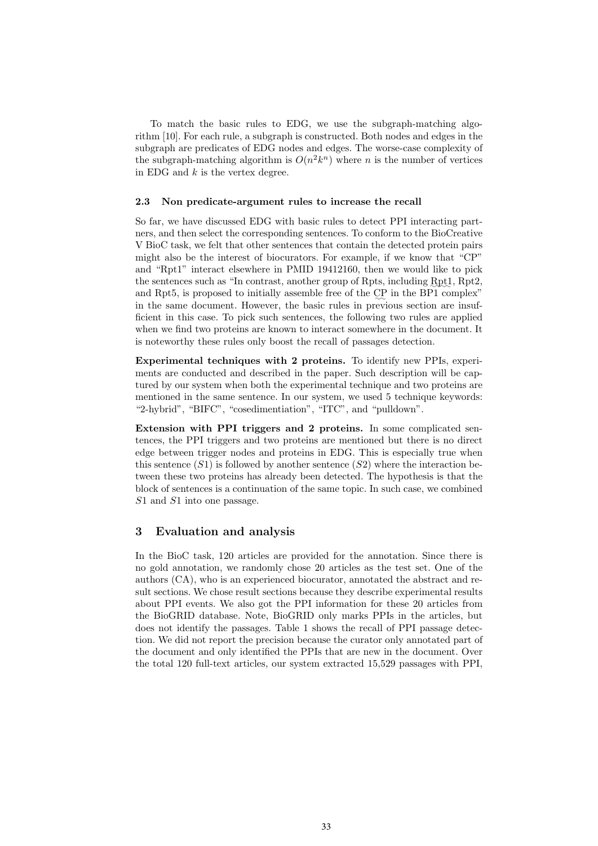To match the basic rules to EDG, we use the subgraph-matching algorithm [10]. For each rule, a subgraph is constructed. Both nodes and edges in the subgraph are predicates of EDG nodes and edges. The worse-case complexity of the subgraph-matching algorithm is  $O(n^2k^n)$  where n is the number of vertices in EDG and  $k$  is the vertex degree.

### 2.3 Non predicate-argument rules to increase the recall

So far, we have discussed EDG with basic rules to detect PPI interacting partners, and then select the corresponding sentences. To conform to the BioCreative V BioC task, we felt that other sentences that contain the detected protein pairs might also be the interest of biocurators. For example, if we know that "CP" and "Rpt1" interact elsewhere in PMID 19412160, then we would like to pick the sentences such as "In contrast, another group of Rpts, including Rpt1, Rpt2, and Rpt5, is proposed to initially assemble free of the CP in the BP1 complex" in the same document. However, the basic rules in previous section are insufficient in this case. To pick such sentences, the following two rules are applied when we find two proteins are known to interact somewhere in the document. It is noteworthy these rules only boost the recall of passages detection.

Experimental techniques with 2 proteins. To identify new PPIs, experiments are conducted and described in the paper. Such description will be captured by our system when both the experimental technique and two proteins are mentioned in the same sentence. In our system, we used 5 technique keywords: "2-hybrid", "BIFC", "cosedimentiation", "ITC", and "pulldown".

Extension with PPI triggers and 2 proteins. In some complicated sentences, the PPI triggers and two proteins are mentioned but there is no direct edge between trigger nodes and proteins in EDG. This is especially true when this sentence  $(S1)$  is followed by another sentence  $(S2)$  where the interaction between these two proteins has already been detected. The hypothesis is that the block of sentences is a continuation of the same topic. In such case, we combined S1 and S1 into one passage.

## 3 Evaluation and analysis

In the BioC task, 120 articles are provided for the annotation. Since there is no gold annotation, we randomly chose 20 articles as the test set. One of the authors (CA), who is an experienced biocurator, annotated the abstract and result sections. We chose result sections because they describe experimental results about PPI events. We also got the PPI information for these 20 articles from the BioGRID database. Note, BioGRID only marks PPIs in the articles, but does not identify the passages. Table 1 shows the recall of PPI passage detection. We did not report the precision because the curator only annotated part of the document and only identified the PPIs that are new in the document. Over the total 120 full-text articles, our system extracted 15,529 passages with PPI,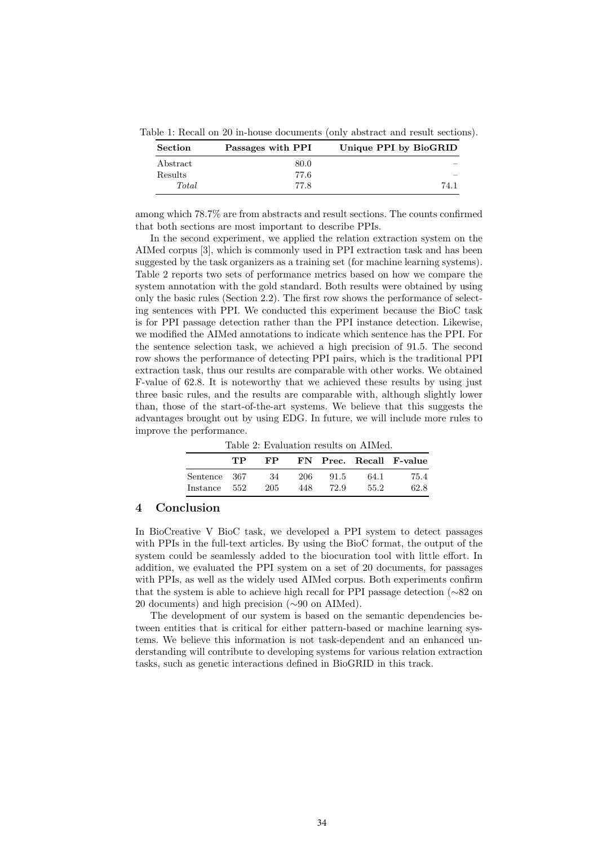Table 1: Recall on 20 in-house documents (only abstract and result sections).

| <b>Section</b> | Passages with PPI | Unique PPI by BioGRID |  |
|----------------|-------------------|-----------------------|--|
| Abstract       | 80.0              |                       |  |
| Results        | 77.6              |                       |  |
| Total          | 77.8              | 74.1                  |  |

among which 78.7% are from abstracts and result sections. The counts confirmed that both sections are most important to describe PPIs.

In the second experiment, we applied the relation extraction system on the AIMed corpus [3], which is commonly used in PPI extraction task and has been suggested by the task organizers as a training set (for machine learning systems). Table 2 reports two sets of performance metrics based on how we compare the system annotation with the gold standard. Both results were obtained by using only the basic rules (Section 2.2). The first row shows the performance of selecting sentences with PPI. We conducted this experiment because the BioC task is for PPI passage detection rather than the PPI instance detection. Likewise, we modified the AIMed annotations to indicate which sentence has the PPI. For the sentence selection task, we achieved a high precision of 91.5. The second row shows the performance of detecting PPI pairs, which is the traditional PPI extraction task, thus our results are comparable with other works. We obtained F-value of 62.8. It is noteworthy that we achieved these results by using just three basic rules, and the results are comparable with, although slightly lower than, those of the start-of-the-art systems. We believe that this suggests the advantages brought out by using EDG. In future, we will include more rules to improve the performance.

Table 2: Evaluation results on AIMed.

|              | TР | FP. |     |      |      | FN Prec. Recall F-value |
|--------------|----|-----|-----|------|------|-------------------------|
| Sentence 367 |    | -34 | 206 | 91.5 | 64.1 | 75.4                    |
| Instance 552 |    | 205 | 448 | 72.9 | 55.2 | 62.8                    |

## 4 Conclusion

In BioCreative V BioC task, we developed a PPI system to detect passages with PPIs in the full-text articles. By using the BioC format, the output of the system could be seamlessly added to the biocuration tool with little effort. In addition, we evaluated the PPI system on a set of 20 documents, for passages with PPIs, as well as the widely used AIMed corpus. Both experiments confirm that the system is able to achieve high recall for PPI passage detection (∼82 on 20 documents) and high precision (∼90 on AIMed).

The development of our system is based on the semantic dependencies between entities that is critical for either pattern-based or machine learning systems. We believe this information is not task-dependent and an enhanced understanding will contribute to developing systems for various relation extraction tasks, such as genetic interactions defined in BioGRID in this track.